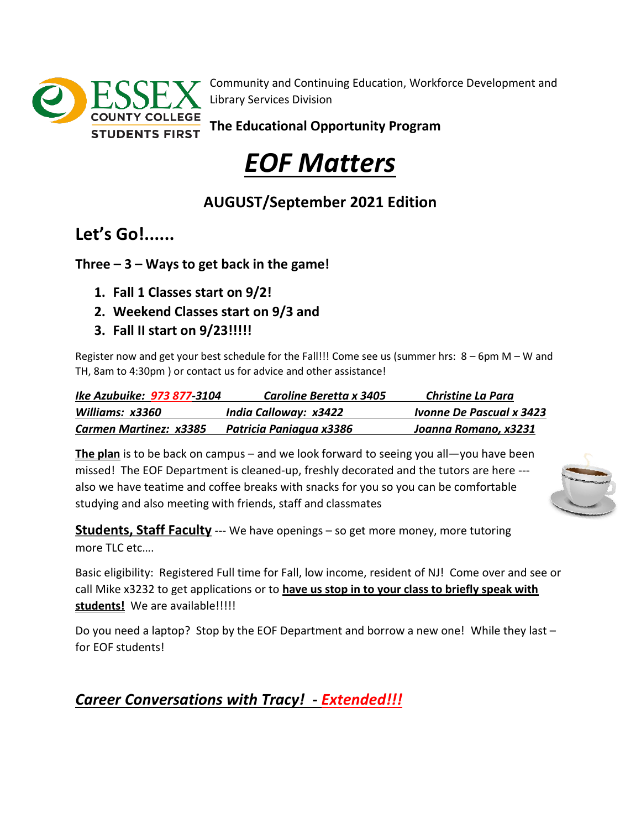

Community and Continuing Education, Workforce Development and Library Services Division

**The Educational Opportunity Program**

# *EOF Matters*

### **AUGUST/September 2021 Edition**

**Let's Go!......**

**Three – 3 – Ways to get back in the game!**

- **1. Fall 1 Classes start on 9/2!**
- **2. Weekend Classes start on 9/3 and**
- **3. Fall II start on 9/23!!!!!**

Register now and get your best schedule for the Fall!!! Come see us (summer hrs: 8 – 6pm M – W and TH, 8am to 4:30pm ) or contact us for advice and other assistance!

| Ike Azubuike: 973 877-3104 | Caroline Beretta x 3405 | Christine La Para               |
|----------------------------|-------------------------|---------------------------------|
| Williams: x3360            | India Calloway: x3422   | <b>Ivonne De Pascual x 3423</b> |
| Carmen Martinez: x3385     | Patricia Paniagua x3386 | Joanna Romano, x3231            |

**The plan** is to be back on campus – and we look forward to seeing you all—you have been missed! The EOF Department is cleaned-up, freshly decorated and the tutors are here -- also we have teatime and coffee breaks with snacks for you so you can be comfortable studying and also meeting with friends, staff and classmates



**Students, Staff Faculty** --- We have openings – so get more money, more tutoring more TLC etc….

Basic eligibility: Registered Full time for Fall, low income, resident of NJ! Come over and see or call Mike x3232 to get applications or to **have us stop in to your class to briefly speak with**  students! We are available!!!!!

Do you need a laptop? Stop by the EOF Department and borrow a new one! While they last – for EOF students!

*Career Conversations with Tracy! - Extended!!!*